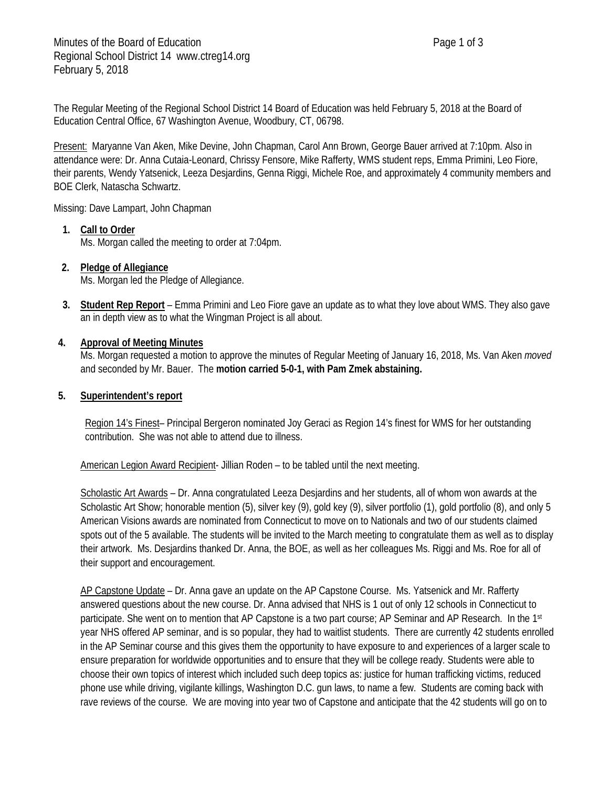The Regular Meeting of the Regional School District 14 Board of Education was held February 5, 2018 at the Board of Education Central Office, 67 Washington Avenue, Woodbury, CT, 06798.

Present: Maryanne Van Aken, Mike Devine, John Chapman, Carol Ann Brown, George Bauer arrived at 7:10pm. Also in attendance were: Dr. Anna Cutaia-Leonard, Chrissy Fensore, Mike Rafferty, WMS student reps, Emma Primini, Leo Fiore, their parents, Wendy Yatsenick, Leeza Desjardins, Genna Riggi, Michele Roe, and approximately 4 community members and BOE Clerk, Natascha Schwartz.

Missing: Dave Lampart, John Chapman

# **1. Call to Order**

Ms. Morgan called the meeting to order at 7:04pm.

#### **2. Pledge of Allegiance** Ms. Morgan led the Pledge of Allegiance.

**3. Student Rep Report** – Emma Primini and Leo Fiore gave an update as to what they love about WMS. They also gave an in depth view as to what the Wingman Project is all about.

# **4. Approval of Meeting Minutes**

Ms. Morgan requested a motion to approve the minutes of Regular Meeting of January 16, 2018, Ms. Van Aken *moved* and seconded by Mr. Bauer. The **motion carried 5-0-1, with Pam Zmek abstaining.**

# **5. Superintendent's report**

Region 14's Finest– Principal Bergeron nominated Joy Geraci as Region 14's finest for WMS for her outstanding contribution. She was not able to attend due to illness.

American Legion Award Recipient- Jillian Roden - to be tabled until the next meeting.

Scholastic Art Awards – Dr. Anna congratulated Leeza Desjardins and her students, all of whom won awards at the Scholastic Art Show; honorable mention (5), silver key (9), gold key (9), silver portfolio (1), gold portfolio (8), and only 5 American Visions awards are nominated from Connecticut to move on to Nationals and two of our students claimed spots out of the 5 available. The students will be invited to the March meeting to congratulate them as well as to display their artwork. Ms. Desjardins thanked Dr. Anna, the BOE, as well as her colleagues Ms. Riggi and Ms. Roe for all of their support and encouragement.

AP Capstone Update – Dr. Anna gave an update on the AP Capstone Course. Ms. Yatsenick and Mr. Rafferty answered questions about the new course. Dr. Anna advised that NHS is 1 out of only 12 schools in Connecticut to participate. She went on to mention that AP Capstone is a two part course; AP Seminar and AP Research. In the 1st year NHS offered AP seminar, and is so popular, they had to waitlist students. There are currently 42 students enrolled in the AP Seminar course and this gives them the opportunity to have exposure to and experiences of a larger scale to ensure preparation for worldwide opportunities and to ensure that they will be college ready. Students were able to choose their own topics of interest which included such deep topics as: justice for human trafficking victims, reduced phone use while driving, vigilante killings, Washington D.C. gun laws, to name a few. Students are coming back with rave reviews of the course. We are moving into year two of Capstone and anticipate that the 42 students will go on to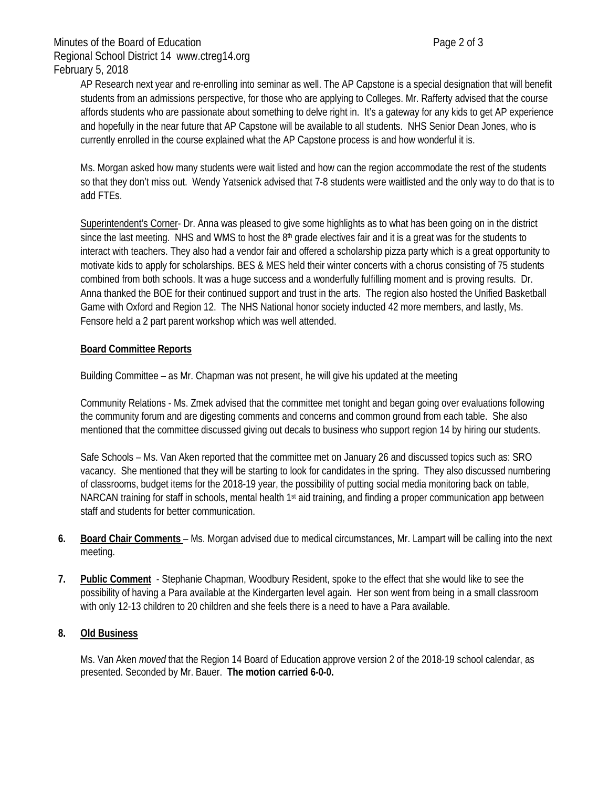AP Research next year and re-enrolling into seminar as well. The AP Capstone is a special designation that will benefit students from an admissions perspective, for those who are applying to Colleges. Mr. Rafferty advised that the course affords students who are passionate about something to delve right in. It's a gateway for any kids to get AP experience and hopefully in the near future that AP Capstone will be available to all students. NHS Senior Dean Jones, who is currently enrolled in the course explained what the AP Capstone process is and how wonderful it is.

Ms. Morgan asked how many students were wait listed and how can the region accommodate the rest of the students so that they don't miss out. Wendy Yatsenick advised that 7-8 students were waitlisted and the only way to do that is to add FTEs.

Superintendent's Corner- Dr. Anna was pleased to give some highlights as to what has been going on in the district since the last meeting. NHS and WMS to host the  $8<sup>th</sup>$  grade electives fair and it is a great was for the students to interact with teachers. They also had a vendor fair and offered a scholarship pizza party which is a great opportunity to motivate kids to apply for scholarships. BES & MES held their winter concerts with a chorus consisting of 75 students combined from both schools. It was a huge success and a wonderfully fulfilling moment and is proving results. Dr. Anna thanked the BOE for their continued support and trust in the arts. The region also hosted the Unified Basketball Game with Oxford and Region 12. The NHS National honor society inducted 42 more members, and lastly, Ms. Fensore held a 2 part parent workshop which was well attended.

# **Board Committee Reports**

Building Committee – as Mr. Chapman was not present, he will give his updated at the meeting

Community Relations - Ms. Zmek advised that the committee met tonight and began going over evaluations following the community forum and are digesting comments and concerns and common ground from each table. She also mentioned that the committee discussed giving out decals to business who support region 14 by hiring our students.

Safe Schools – Ms. Van Aken reported that the committee met on January 26 and discussed topics such as: SRO vacancy. She mentioned that they will be starting to look for candidates in the spring. They also discussed numbering of classrooms, budget items for the 2018-19 year, the possibility of putting social media monitoring back on table, NARCAN training for staff in schools, mental health 1<sup>st</sup> aid training, and finding a proper communication app between staff and students for better communication.

- **6. Board Chair Comments**  Ms. Morgan advised due to medical circumstances, Mr. Lampart will be calling into the next meeting.
- **7. Public Comment** Stephanie Chapman, Woodbury Resident, spoke to the effect that she would like to see the possibility of having a Para available at the Kindergarten level again. Her son went from being in a small classroom with only 12-13 children to 20 children and she feels there is a need to have a Para available.

#### **8. Old Business**

Ms. Van Aken *moved* that the Region 14 Board of Education approve version 2 of the 2018-19 school calendar, as presented. Seconded by Mr. Bauer. **The motion carried 6-0-0.**